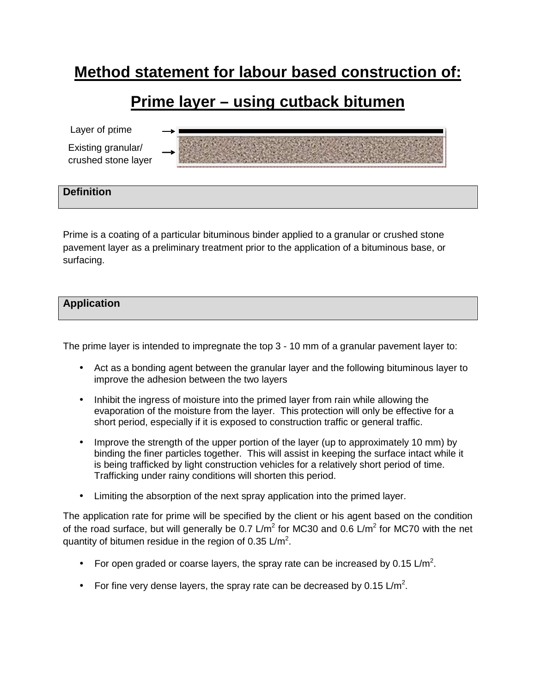# **Method statement for labour based construction of:**

# **Prime layer – using cutback bitumen**

Layer of prime Existing granular/ crushed stone layer

# **Definition**

Prime is a coating of a particular bituminous binder applied to a granular or crushed stone pavement layer as a preliminary treatment prior to the application of a bituminous base, or surfacing.

## **Application**

The prime layer is intended to impregnate the top 3 - 10 mm of a granular pavement layer to:

- Act as a bonding agent between the granular layer and the following bituminous layer to improve the adhesion between the two layers
- Inhibit the ingress of moisture into the primed layer from rain while allowing the evaporation of the moisture from the layer. This protection will only be effective for a short period, especially if it is exposed to construction traffic or general traffic.
- Improve the strength of the upper portion of the layer (up to approximately 10 mm) by binding the finer particles together. This will assist in keeping the surface intact while it is being trafficked by light construction vehicles for a relatively short period of time. Trafficking under rainy conditions will shorten this period.
- Limiting the absorption of the next spray application into the primed layer.

The application rate for prime will be specified by the client or his agent based on the condition of the road surface, but will generally be 0.7 L/m<sup>2</sup> for MC30 and 0.6 L/m<sup>2</sup> for MC70 with the net quantity of bitumen residue in the region of 0.35  $\textsf{L/m}^2$ .

- For open graded or coarse layers, the spray rate can be increased by 0.15 L/m<sup>2</sup>.
- For fine very dense layers, the spray rate can be decreased by 0.15  $\text{L/m}^2$ .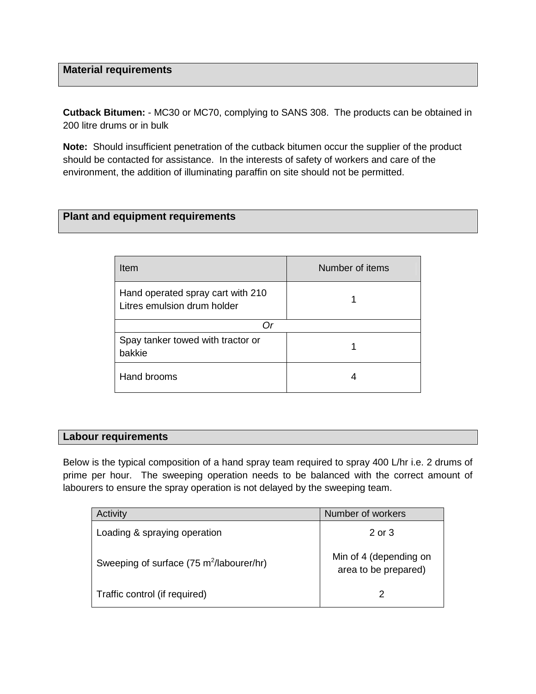# **Material requirements**

**Cutback Bitumen:** - MC30 or MC70, complying to SANS 308. The products can be obtained in 200 litre drums or in bulk

**Note:** Should insufficient penetration of the cutback bitumen occur the supplier of the product should be contacted for assistance. In the interests of safety of workers and care of the environment, the addition of illuminating paraffin on site should not be permitted.

# **Plant and equipment requirements**

| Item                                                             | Number of items |
|------------------------------------------------------------------|-----------------|
| Hand operated spray cart with 210<br>Litres emulsion drum holder |                 |
|                                                                  |                 |
| Spay tanker towed with tractor or<br>bakkie                      |                 |
| Hand brooms                                                      |                 |

#### **Labour requirements**

Below is the typical composition of a hand spray team required to spray 400 L/hr i.e. 2 drums of prime per hour. The sweeping operation needs to be balanced with the correct amount of labourers to ensure the spray operation is not delayed by the sweeping team.

| Activity                                             | Number of workers                              |
|------------------------------------------------------|------------------------------------------------|
| Loading & spraying operation                         | $2$ or $3$                                     |
| Sweeping of surface (75 m <sup>2</sup> /labourer/hr) | Min of 4 (depending on<br>area to be prepared) |
| Traffic control (if required)                        | 2                                              |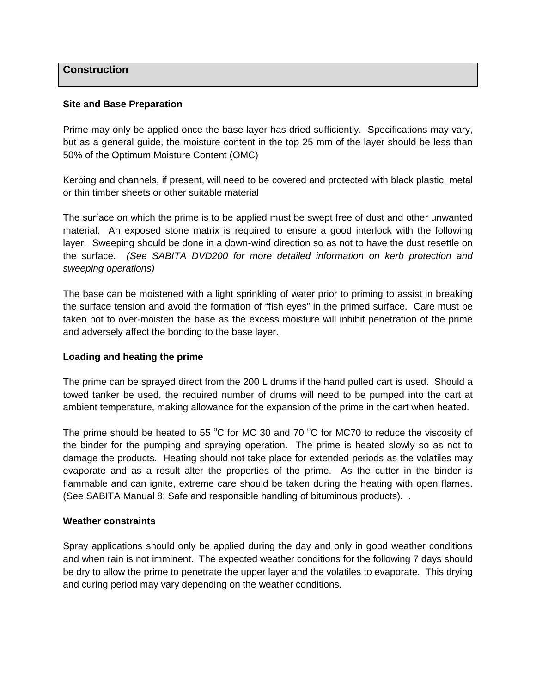### **Construction**

#### **Site and Base Preparation**

Prime may only be applied once the base layer has dried sufficiently. Specifications may vary, but as a general guide, the moisture content in the top 25 mm of the layer should be less than 50% of the Optimum Moisture Content (OMC)

Kerbing and channels, if present, will need to be covered and protected with black plastic, metal or thin timber sheets or other suitable material

The surface on which the prime is to be applied must be swept free of dust and other unwanted material. An exposed stone matrix is required to ensure a good interlock with the following layer. Sweeping should be done in a down-wind direction so as not to have the dust resettle on the surface. (See SABITA DVD200 for more detailed information on kerb protection and sweeping operations)

The base can be moistened with a light sprinkling of water prior to priming to assist in breaking the surface tension and avoid the formation of "fish eyes" in the primed surface. Care must be taken not to over-moisten the base as the excess moisture will inhibit penetration of the prime and adversely affect the bonding to the base layer.

#### **Loading and heating the prime**

The prime can be sprayed direct from the 200 L drums if the hand pulled cart is used. Should a towed tanker be used, the required number of drums will need to be pumped into the cart at ambient temperature, making allowance for the expansion of the prime in the cart when heated.

The prime should be heated to 55  $\degree$ C for MC 30 and 70  $\degree$ C for MC70 to reduce the viscosity of the binder for the pumping and spraying operation. The prime is heated slowly so as not to damage the products. Heating should not take place for extended periods as the volatiles may evaporate and as a result alter the properties of the prime. As the cutter in the binder is flammable and can ignite, extreme care should be taken during the heating with open flames. (See SABITA Manual 8: Safe and responsible handling of bituminous products). .

#### **Weather constraints**

Spray applications should only be applied during the day and only in good weather conditions and when rain is not imminent. The expected weather conditions for the following 7 days should be dry to allow the prime to penetrate the upper layer and the volatiles to evaporate. This drying and curing period may vary depending on the weather conditions.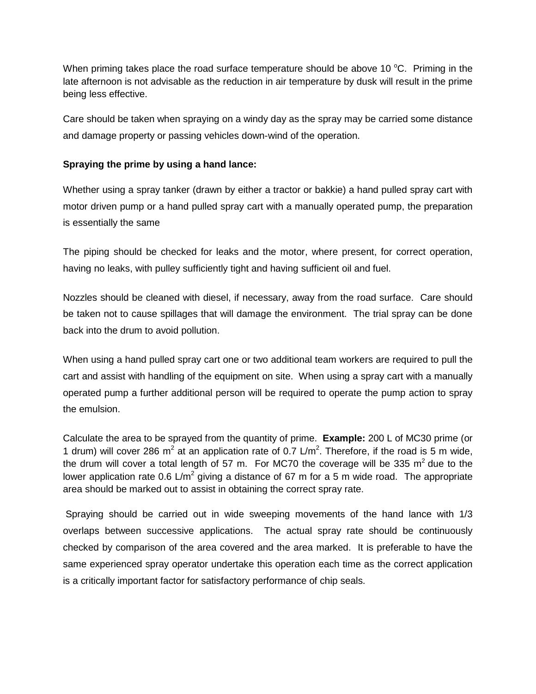When priming takes place the road surface temperature should be above 10  $^{\circ}$ C. Priming in the late afternoon is not advisable as the reduction in air temperature by dusk will result in the prime being less effective.

Care should be taken when spraying on a windy day as the spray may be carried some distance and damage property or passing vehicles down-wind of the operation.

# **Spraying the prime by using a hand lance:**

Whether using a spray tanker (drawn by either a tractor or bakkie) a hand pulled spray cart with motor driven pump or a hand pulled spray cart with a manually operated pump, the preparation is essentially the same

The piping should be checked for leaks and the motor, where present, for correct operation, having no leaks, with pulley sufficiently tight and having sufficient oil and fuel.

Nozzles should be cleaned with diesel, if necessary, away from the road surface. Care should be taken not to cause spillages that will damage the environment. The trial spray can be done back into the drum to avoid pollution.

When using a hand pulled spray cart one or two additional team workers are required to pull the cart and assist with handling of the equipment on site. When using a spray cart with a manually operated pump a further additional person will be required to operate the pump action to spray the emulsion.

Calculate the area to be sprayed from the quantity of prime. **Example:** 200 L of MC30 prime (or 1 drum) will cover 286 m<sup>2</sup> at an application rate of 0.7 L/m<sup>2</sup>. Therefore, if the road is 5 m wide, the drum will cover a total length of 57 m. For MC70 the coverage will be 335  $m^2$  due to the lower application rate 0.6 L/m<sup>2</sup> giving a distance of 67 m for a 5 m wide road. The appropriate area should be marked out to assist in obtaining the correct spray rate.

 Spraying should be carried out in wide sweeping movements of the hand lance with 1/3 overlaps between successive applications. The actual spray rate should be continuously checked by comparison of the area covered and the area marked. It is preferable to have the same experienced spray operator undertake this operation each time as the correct application is a critically important factor for satisfactory performance of chip seals.